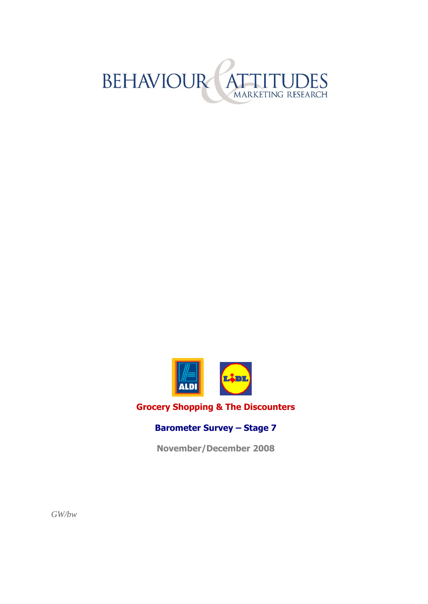



#### **Grocery Shopping & The Discounters**

#### **Barometer Survey – Stage 7**

**November/December 2008**

*GW/bw*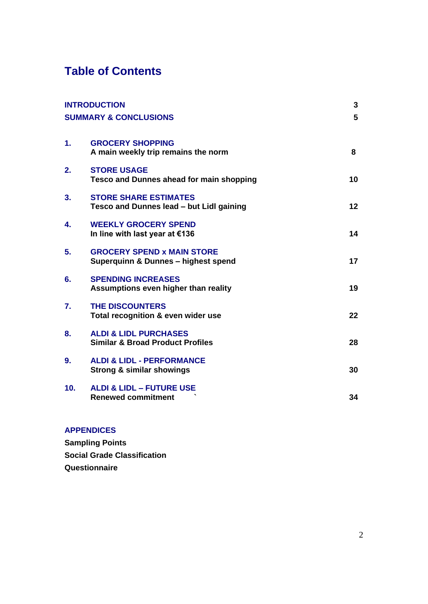### **Table of Contents**

| <b>INTRODUCTION</b><br><b>SUMMARY &amp; CONCLUSIONS</b> |                                                                                 | 3  |
|---------------------------------------------------------|---------------------------------------------------------------------------------|----|
|                                                         |                                                                                 | 5  |
| $\mathbf{1}$ .                                          | <b>GROCERY SHOPPING</b><br>A main weekly trip remains the norm                  | 8  |
| 2.                                                      | <b>STORE USAGE</b><br><b>Tesco and Dunnes ahead for main shopping</b>           | 10 |
| 3.                                                      | <b>STORE SHARE ESTIMATES</b><br>Tesco and Dunnes lead - but Lidl gaining        | 12 |
| 4.                                                      | <b>WEEKLY GROCERY SPEND</b><br>In line with last year at €136                   | 14 |
| 5.                                                      | <b>GROCERY SPEND x MAIN STORE</b><br>Superquinn & Dunnes - highest spend        | 17 |
| 6.                                                      | <b>SPENDING INCREASES</b><br>Assumptions even higher than reality               | 19 |
| 7.                                                      | <b>THE DISCOUNTERS</b><br>Total recognition & even wider use                    | 22 |
| 8.                                                      | <b>ALDI &amp; LIDL PURCHASES</b><br><b>Similar &amp; Broad Product Profiles</b> | 28 |
| 9.                                                      | <b>ALDI &amp; LIDL - PERFORMANCE</b><br><b>Strong &amp; similar showings</b>    | 30 |
| 10.                                                     | <b>ALDI &amp; LIDL - FUTURE USE</b><br><b>Renewed commitment</b>                | 34 |
|                                                         |                                                                                 |    |

#### **APPENDICES**

**Sampling Points Social Grade Classification Questionnaire**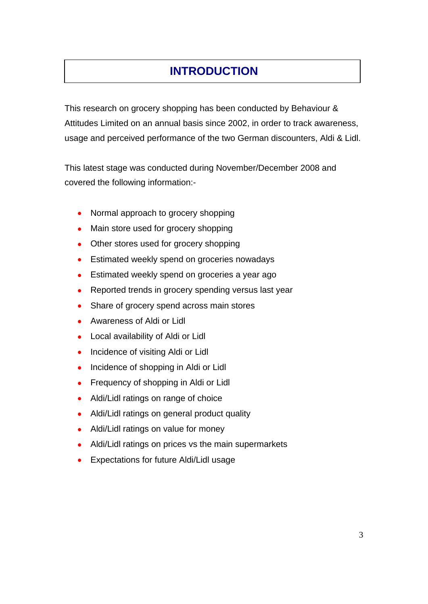# **INTRODUCTION**

This research on grocery shopping has been conducted by Behaviour & Attitudes Limited on an annual basis since 2002, in order to track awareness, usage and perceived performance of the two German discounters, Aldi & Lidl.

This latest stage was conducted during November/December 2008 and covered the following information:-

- Normal approach to grocery shopping  $\bullet$
- Main store used for grocery shopping  $\bullet$
- Other stores used for grocery shopping  $\bullet$
- Estimated weekly spend on groceries nowadays
- Estimated weekly spend on groceries a year ago
- Reported trends in grocery spending versus last year
- Share of grocery spend across main stores
- Awareness of Aldi or Lidl
- Local availability of Aldi or Lidl
- Incidence of visiting Aldi or Lidl
- Incidence of shopping in Aldi or Lidl
- Frequency of shopping in Aldi or Lidl  $\bullet$
- Aldi/Lidl ratings on range of choice  $\bullet$
- Aldi/Lidl ratings on general product quality  $\bullet$
- Aldi/Lidl ratings on value for money
- Aldi/Lidl ratings on prices vs the main supermarkets
- Expectations for future Aldi/Lidl usage $\bullet$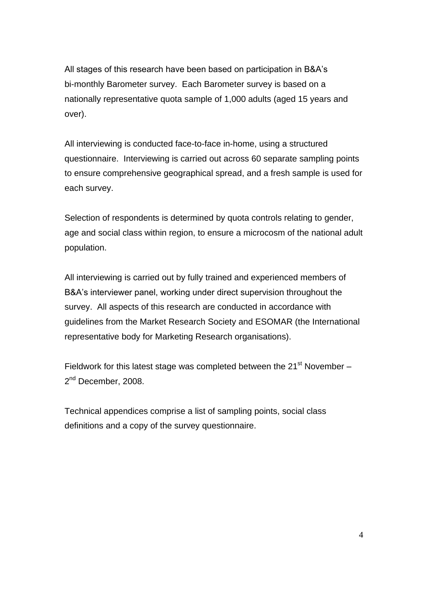All stages of this research have been based on participation in B&A's bi-monthly Barometer survey. Each Barometer survey is based on a nationally representative quota sample of 1,000 adults (aged 15 years and over).

All interviewing is conducted face-to-face in-home, using a structured questionnaire. Interviewing is carried out across 60 separate sampling points to ensure comprehensive geographical spread, and a fresh sample is used for each survey.

Selection of respondents is determined by quota controls relating to gender, age and social class within region, to ensure a microcosm of the national adult population.

All interviewing is carried out by fully trained and experienced members of B&A's interviewer panel, working under direct supervision throughout the survey. All aspects of this research are conducted in accordance with guidelines from the Market Research Society and ESOMAR (the International representative body for Marketing Research organisations).

Fieldwork for this latest stage was completed between the  $21<sup>st</sup>$  November – 2<sup>nd</sup> December, 2008.

Technical appendices comprise a list of sampling points, social class definitions and a copy of the survey questionnaire.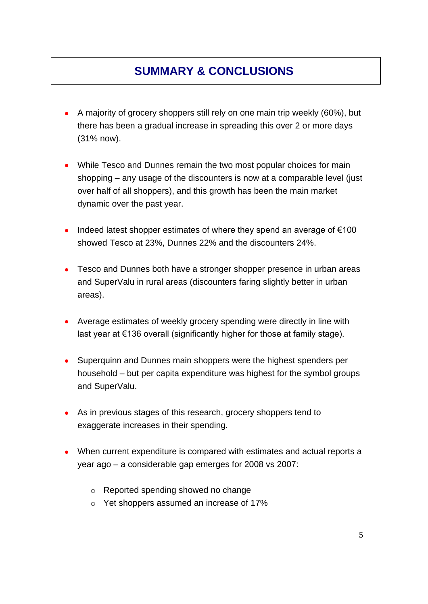## **SUMMARY & CONCLUSIONS**

- A majority of grocery shoppers still rely on one main trip weekly (60%), but there has been a gradual increase in spreading this over 2 or more days (31% now).
- While Tesco and Dunnes remain the two most popular choices for main shopping – any usage of the discounters is now at a comparable level (just over half of all shoppers), and this growth has been the main market dynamic over the past year.
- Indeed latest shopper estimates of where they spend an average of  $€100$ showed Tesco at 23%, Dunnes 22% and the discounters 24%.
- Tesco and Dunnes both have a stronger shopper presence in urban areas and SuperValu in rural areas (discounters faring slightly better in urban areas).
- Average estimates of weekly grocery spending were directly in line with last year at €136 overall (significantly higher for those at family stage).
- $\bullet$ Superquinn and Dunnes main shoppers were the highest spenders per household – but per capita expenditure was highest for the symbol groups and SuperValu.
- As in previous stages of this research, grocery shoppers tend to exaggerate increases in their spending.
- When current expenditure is compared with estimates and actual reports a year ago – a considerable gap emerges for 2008 vs 2007:
	- o Reported spending showed no change
	- o Yet shoppers assumed an increase of 17%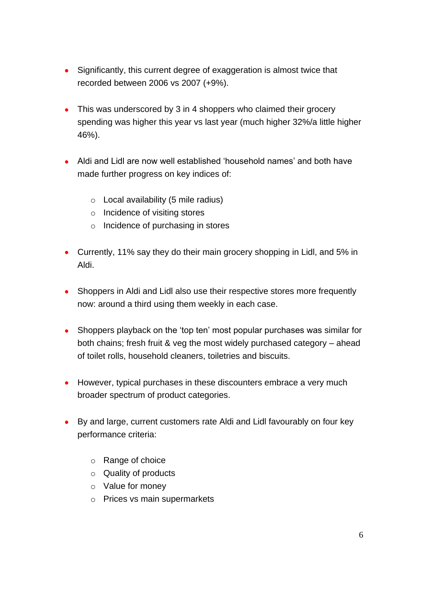- Significantly, this current degree of exaggeration is almost twice that recorded between 2006 vs 2007 (+9%).
- This was underscored by 3 in 4 shoppers who claimed their grocery spending was higher this year vs last year (much higher 32%/a little higher 46%).
- Aldi and Lidl are now well established 'household names' and both have made further progress on key indices of:
	- $\circ$  Local availability (5 mile radius)
	- o Incidence of visiting stores
	- o Incidence of purchasing in stores
- Currently, 11% say they do their main grocery shopping in Lidl, and 5% in Aldi.
- Shoppers in Aldi and Lidl also use their respective stores more frequently now: around a third using them weekly in each case.
- Shoppers playback on the 'top ten' most popular purchases was similar for both chains; fresh fruit & veg the most widely purchased category – ahead of toilet rolls, household cleaners, toiletries and biscuits.
- However, typical purchases in these discounters embrace a very much broader spectrum of product categories.
- By and large, current customers rate Aldi and Lidl favourably on four key performance criteria:
	- o Range of choice
	- o Quality of products
	- o Value for money
	- o Prices vs main supermarkets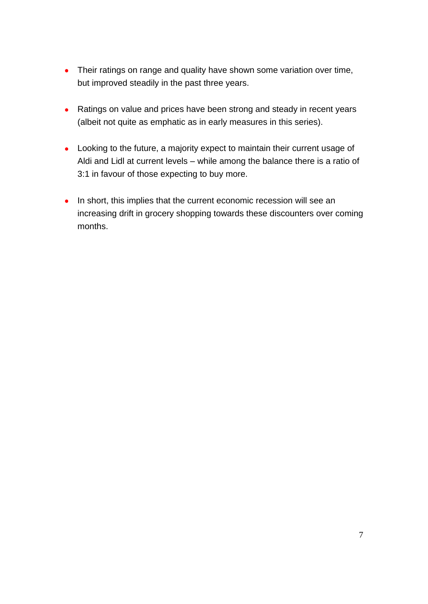- Their ratings on range and quality have shown some variation over time, but improved steadily in the past three years.
- Ratings on value and prices have been strong and steady in recent years (albeit not quite as emphatic as in early measures in this series).
- Looking to the future, a majority expect to maintain their current usage of Aldi and Lidl at current levels – while among the balance there is a ratio of 3:1 in favour of those expecting to buy more.
- In short, this implies that the current economic recession will see an increasing drift in grocery shopping towards these discounters over coming months.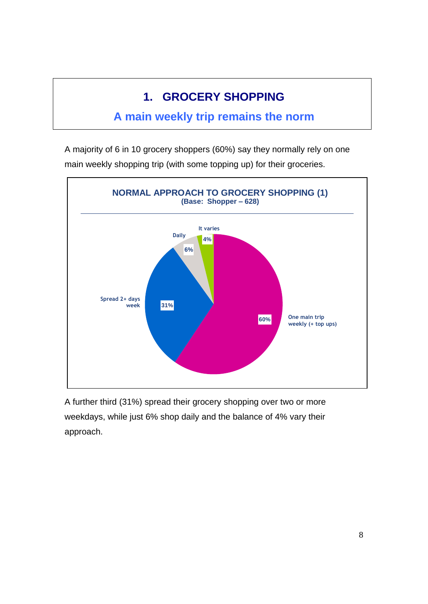# **1. GROCERY SHOPPING**

### **A main weekly trip remains the norm**

A majority of 6 in 10 grocery shoppers (60%) say they normally rely on one main weekly shopping trip (with some topping up) for their groceries.



A further third (31%) spread their grocery shopping over two or more weekdays, while just 6% shop daily and the balance of 4% vary their approach.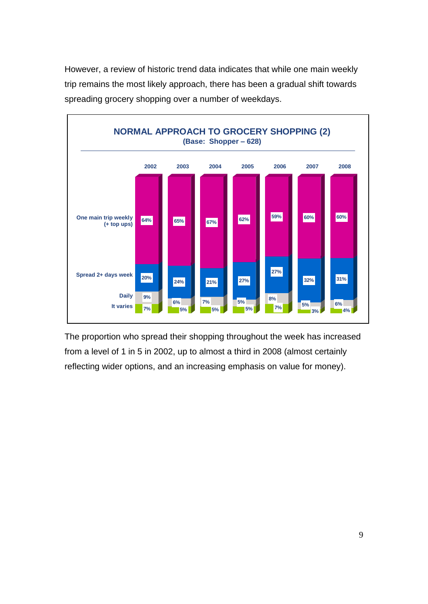However, a review of historic trend data indicates that while one main weekly trip remains the most likely approach, there has been a gradual shift towards spreading grocery shopping over a number of weekdays.



The proportion who spread their shopping throughout the week has increased from a level of 1 in 5 in 2002, up to almost a third in 2008 (almost certainly reflecting wider options, and an increasing emphasis on value for money).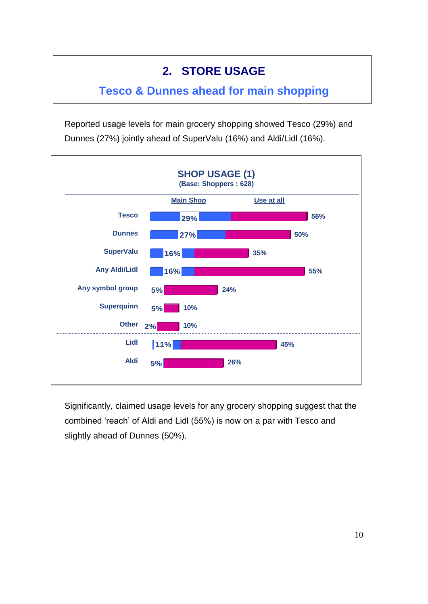## **2. STORE USAGE**

### **Tesco & Dunnes ahead for main shopping**

Reported usage levels for main grocery shopping showed Tesco (29%) and Dunnes (27%) jointly ahead of SuperValu (16%) and Aldi/Lidl (16%).



Significantly, claimed usage levels for any grocery shopping suggest that the combined 'reach' of Aldi and Lidl (55%) is now on a par with Tesco and slightly ahead of Dunnes (50%).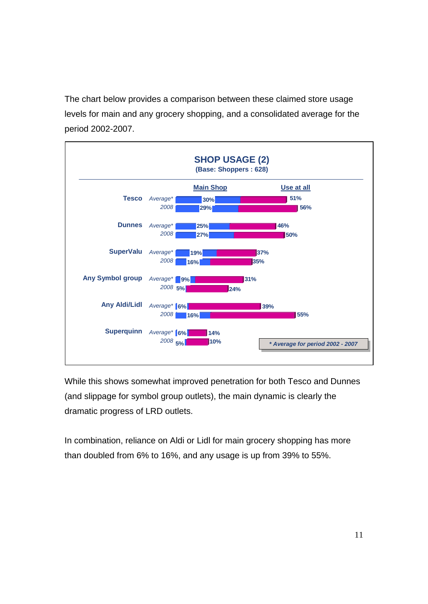The chart below provides a comparison between these claimed store usage levels for main and any grocery shopping, and a consolidated average for the period 2002-2007.



While this shows somewhat improved penetration for both Tesco and Dunnes (and slippage for symbol group outlets), the main dynamic is clearly the dramatic progress of LRD outlets.

In combination, reliance on Aldi or Lidl for main grocery shopping has more than doubled from 6% to 16%, and any usage is up from 39% to 55%.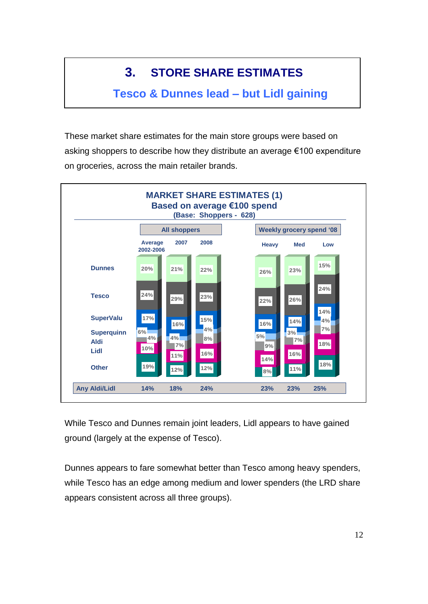# **3. STORE SHARE ESTIMATES**

### **Tesco & Dunnes lead – but Lidl gaining**

These market share estimates for the main store groups were based on asking shoppers to describe how they distribute an average €100 expenditure on groceries, across the main retailer brands.



While Tesco and Dunnes remain joint leaders, Lidl appears to have gained ground (largely at the expense of Tesco).

Dunnes appears to fare somewhat better than Tesco among heavy spenders, while Tesco has an edge among medium and lower spenders (the LRD share appears consistent across all three groups).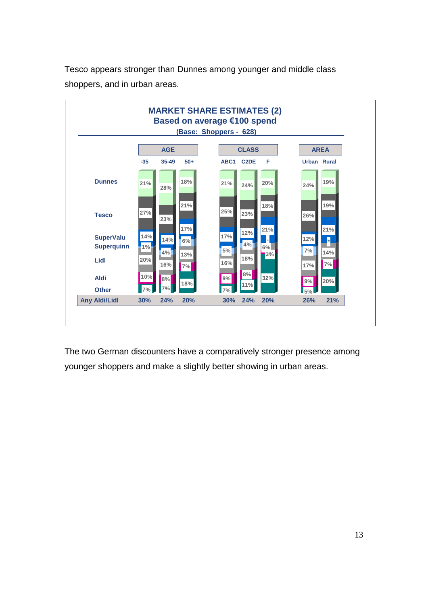

Tesco appears stronger than Dunnes among younger and middle class shoppers, and in urban areas.

The two German discounters have a comparatively stronger presence among younger shoppers and make a slightly better showing in urban areas.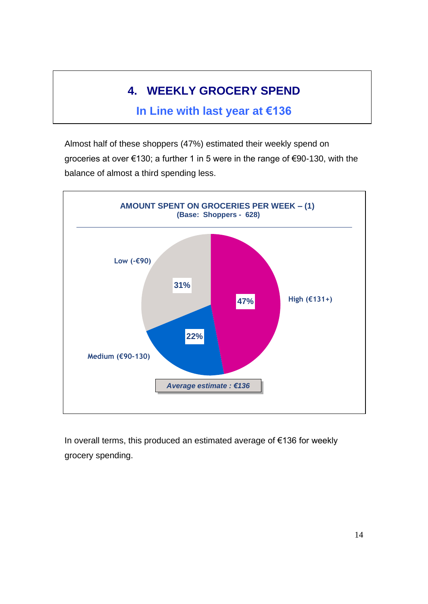# **4. WEEKLY GROCERY SPEND**

### **In Line with last year at €136**

Almost half of these shoppers (47%) estimated their weekly spend on groceries at over €130; a further 1 in 5 were in the range of €90-130, with the balance of almost a third spending less.



In overall terms, this produced an estimated average of €136 for weekly grocery spending.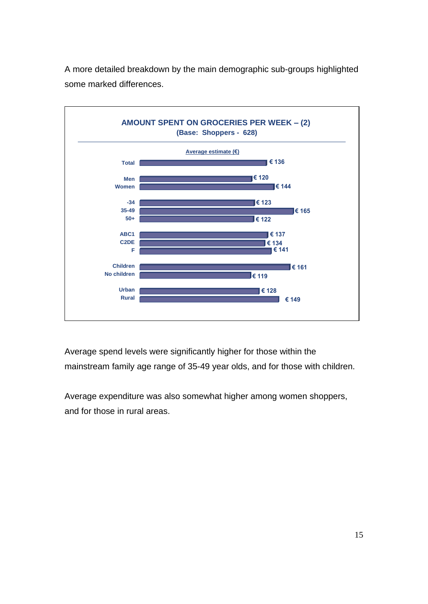

A more detailed breakdown by the main demographic sub-groups highlighted some marked differences.

Average spend levels were significantly higher for those within the mainstream family age range of 35-49 year olds, and for those with children.

Average expenditure was also somewhat higher among women shoppers, and for those in rural areas.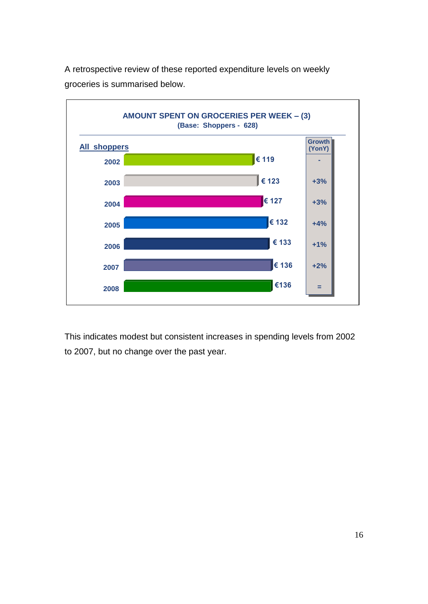

A retrospective review of these reported expenditure levels on weekly groceries is summarised below.

This indicates modest but consistent increases in spending levels from 2002 to 2007, but no change over the past year.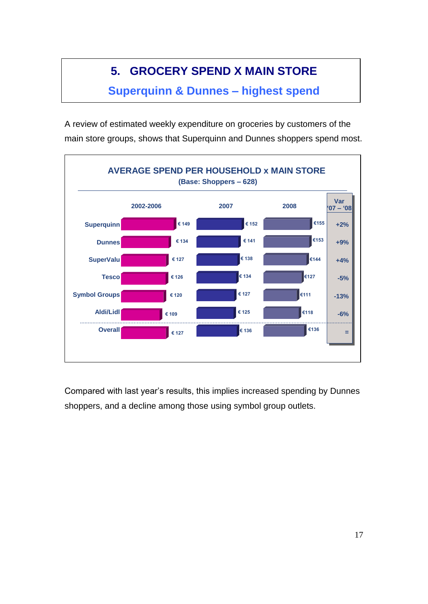# **5. GROCERY SPEND X MAIN STORE**

**Superquinn & Dunnes – highest spend**

A review of estimated weekly expenditure on groceries by customers of the main store groups, shows that Superquinn and Dunnes shoppers spend most.



Compared with last year's results, this implies increased spending by Dunnes shoppers, and a decline among those using symbol group outlets.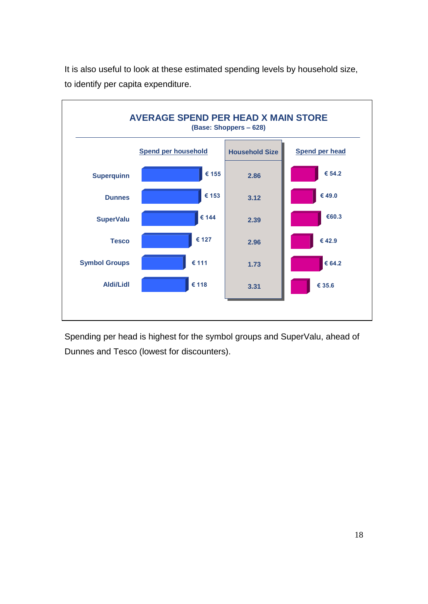

It is also useful to look at these estimated spending levels by household size, to identify per capita expenditure.

Spending per head is highest for the symbol groups and SuperValu, ahead of Dunnes and Tesco (lowest for discounters).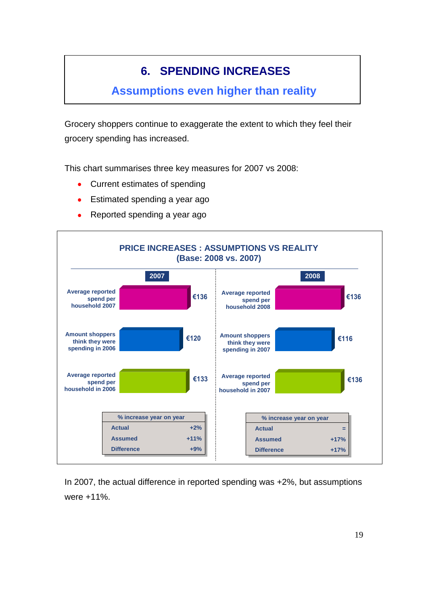# **6. SPENDING INCREASES**

### **Assumptions even higher than reality**

Grocery shoppers continue to exaggerate the extent to which they feel their grocery spending has increased.

This chart summarises three key measures for 2007 vs 2008:

- Current estimates of spending  $\bullet$
- Estimated spending a year ago
- Reported spending a year ago



In 2007, the actual difference in reported spending was +2%, but assumptions were +11%.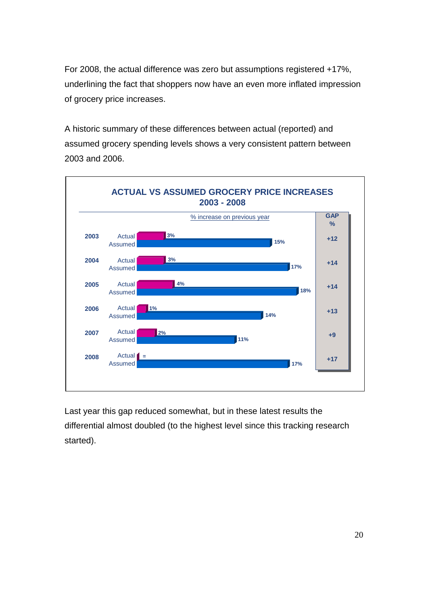For 2008, the actual difference was zero but assumptions registered +17%, underlining the fact that shoppers now have an even more inflated impression of grocery price increases.

A historic summary of these differences between actual (reported) and assumed grocery spending levels shows a very consistent pattern between 2003 and 2006.



Last year this gap reduced somewhat, but in these latest results the differential almost doubled (to the highest level since this tracking research started).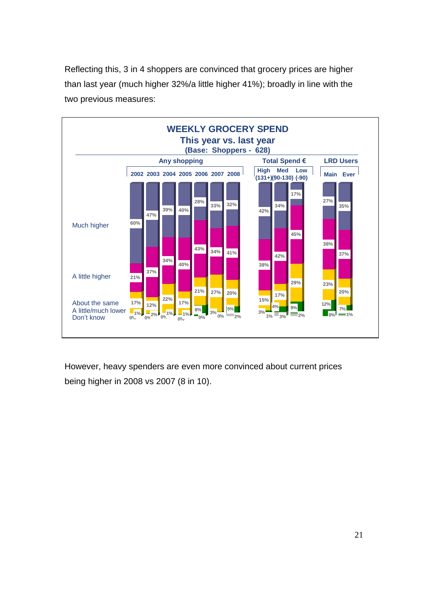Reflecting this, 3 in 4 shoppers are convinced that grocery prices are higher than last year (much higher 32%/a little higher 41%); broadly in line with the two previous measures:



However, heavy spenders are even more convinced about current prices being higher in 2008 vs 2007 (8 in 10).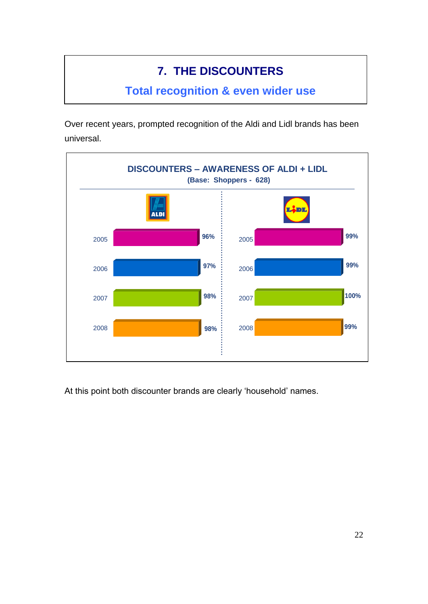# **7. THE DISCOUNTERS**

### **Total recognition & even wider use**

Over recent years, prompted recognition of the Aldi and Lidl brands has been universal.



At this point both discounter brands are clearly 'household' names.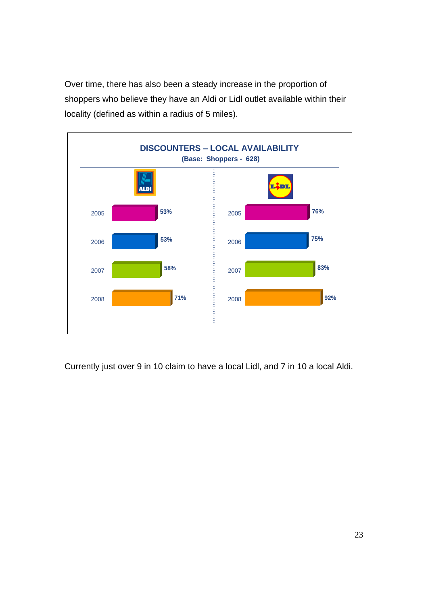Over time, there has also been a steady increase in the proportion of shoppers who believe they have an Aldi or Lidl outlet available within their locality (defined as within a radius of 5 miles).



Currently just over 9 in 10 claim to have a local Lidl, and 7 in 10 a local Aldi.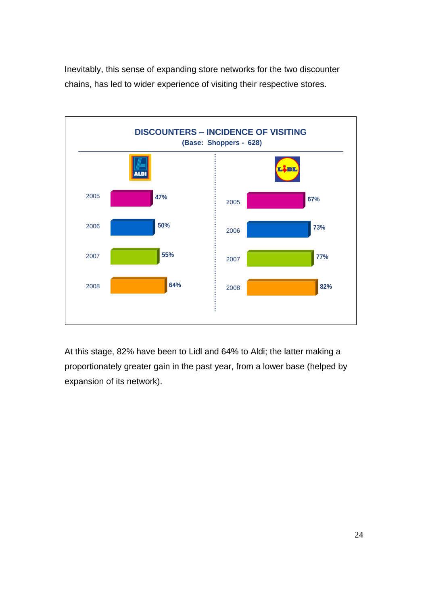Inevitably, this sense of expanding store networks for the two discounter chains, has led to wider experience of visiting their respective stores.



At this stage, 82% have been to Lidl and 64% to Aldi; the latter making a proportionately greater gain in the past year, from a lower base (helped by expansion of its network).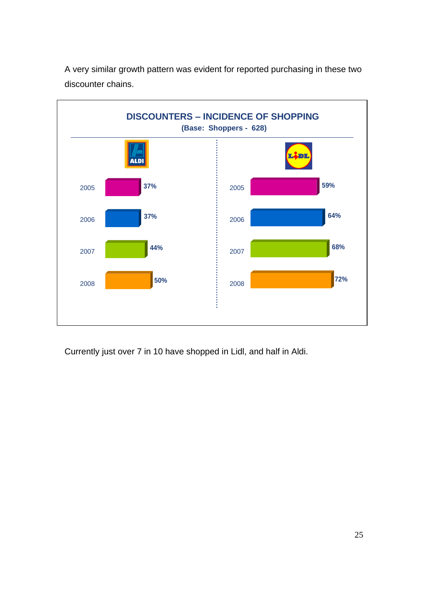

A very similar growth pattern was evident for reported purchasing in these two discounter chains.

Currently just over 7 in 10 have shopped in Lidl, and half in Aldi.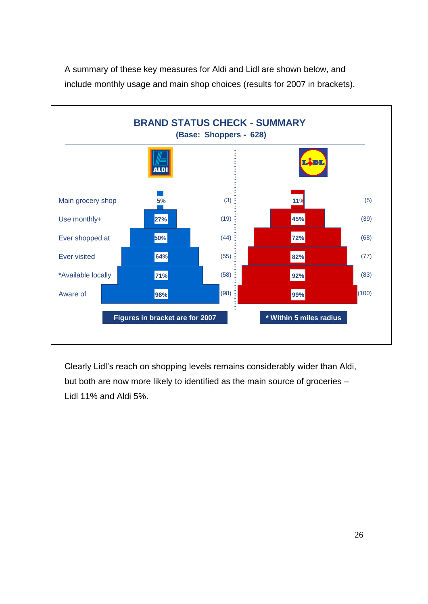

A summary of these key measures for Aldi and Lidl are shown below, and include monthly usage and main shop choices (results for 2007 in brackets).

Clearly Lidl's reach on shopping levels remains considerably wider than Aldi, but both are now more likely to identified as the main source of groceries – Lidl 11% and Aldi 5%.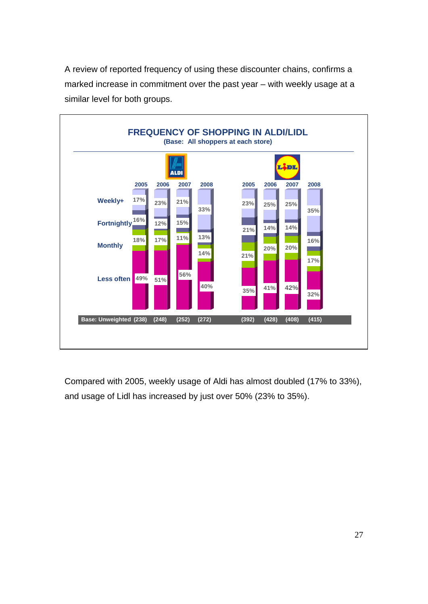A review of reported frequency of using these discounter chains, confirms a marked increase in commitment over the past year – with weekly usage at a similar level for both groups.



Compared with 2005, weekly usage of Aldi has almost doubled (17% to 33%), and usage of Lidl has increased by just over 50% (23% to 35%).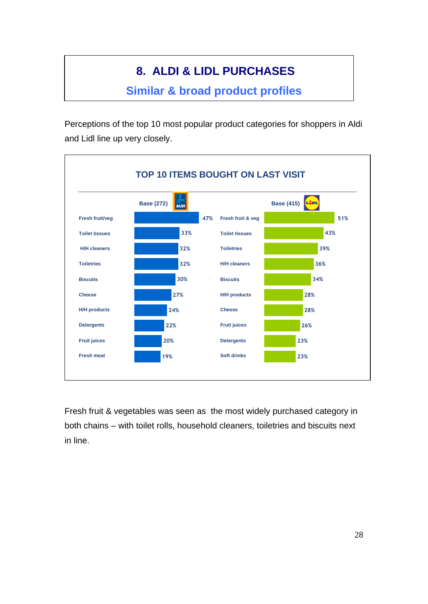# **8. ALDI & LIDL PURCHASES**

### **Similar & broad product profiles**

Perceptions of the top 10 most popular product categories for shoppers in Aldi and Lidl line up very closely.



Fresh fruit & vegetables was seen as the most widely purchased category in both chains – with toilet rolls, household cleaners, toiletries and biscuits next in line.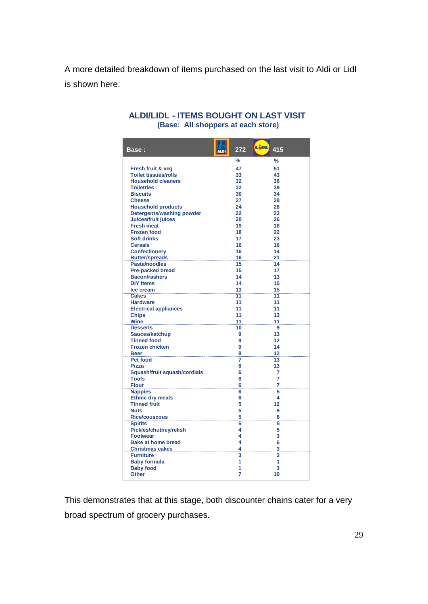A more detailed breakdown of items purchased on the last visit to Aldi or Lidl is shown here:

| <b>Base:</b>                  | 272<br><b>ALDI</b> | Lidl.<br>415   |
|-------------------------------|--------------------|----------------|
|                               | $\frac{9}{6}$      | $\frac{9}{6}$  |
| Fresh fruit & veg             | 47                 | 51             |
| <b>Toilet tissues/rolls</b>   | 33                 | 43             |
| <b>Household cleaners</b>     | 32                 | 36             |
| <b>Toiletries</b>             | 32                 | 39             |
| <b>Biscuits</b>               | 30                 | 34             |
| <b>Cheese</b>                 | 27                 | 28             |
| <b>Household products</b>     | 24                 | 28             |
| Detergents/washing powder     | 22                 | 23             |
| Juices/fruit juices           | 20                 | 26             |
| <b>Fresh meat</b>             |                    | 18             |
| <b>Frozen food</b>            | 18                 | 22             |
| <b>Soft drinks</b>            | 17                 | 23             |
| <b>Cereals</b>                | 16                 | 16             |
| <b>Confectionery</b>          | 16                 | 14             |
| Butter/spreads 16             |                    | 21             |
| Pasta/noodles                 | 15                 | 14             |
| <b>Pre-packed bread</b>       | 15                 | 17             |
| <b>Bacon/rashers</b>          | 14                 | 13             |
| <b>DIY items</b>              | 14                 | 15             |
| Ice cream                     | 13                 | 15             |
| <b>Cakes</b>                  | 11                 | 11             |
| <b>Hardware</b>               | 11                 | 11             |
| <b>Electrical appliances</b>  | 11                 | 11             |
| <b>Chips</b>                  | 11                 | 13             |
| Wine 11                       |                    | 11             |
| <b>Desserts</b>               | 10                 | 9              |
| Sauces/ketchup                | 9                  | 13             |
| <b>Tinned food</b>            | 9                  | 12             |
| <b>Frozen chicken</b>         | 9                  | 14             |
| <b>Beer</b>                   | 8                  | 12             |
| Pet food                      | 7                  | 13             |
| <b>Pizza</b>                  | 6                  | 13             |
| Squash/fruit squash/cordials  | 6                  | 7              |
| <b>Tools</b>                  | 6                  | $\overline{7}$ |
| <b>Flour</b>                  | 6                  | 7              |
| <b>Nappies</b>                | 6                  | 5              |
| <b>Ethnic dry meals</b>       | 6                  | 4              |
| <b>Tinned fruit</b>           | 5                  | 12             |
| <b>Nuts</b>                   | 5                  | 9              |
| Rice/couscous                 | 5                  | 8              |
| <b>Spirits</b>                | 5                  | 5              |
| <b>Pickles/chutney/relish</b> | 4                  | 5              |
| <b>Footwear</b>               | 4                  | 3              |
| <b>Bake at home bread</b>     | 4                  | 6              |
| Christmas cakes 4             |                    | 3              |
| <b>Furniture</b>              | 3                  | 3              |
| <b>Baby formula</b>           | 1                  | 1              |
| <b>Baby food</b>              | 1                  | 3              |
| <b>Other</b>                  | 7                  | 10             |

#### **ALDI/LIDL - ITEMS BOUGHT ON LAST VISIT (Base: All shoppers at each store)**

This demonstrates that at this stage, both discounter chains cater for a very broad spectrum of grocery purchases.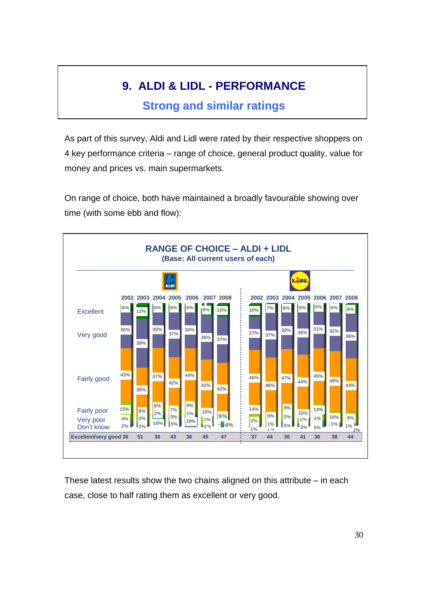# **9. ALDI & LIDL - PERFORMANCE**

### **Strong and similar ratings**

As part of this survey, Aldi and Lidl were rated by their respective shoppers on 4 key performance criteria – range of choice, general product quality, value for money and prices vs. main supermarkets.

On range of choice, both have maintained a broadly favourable showing over time (with some ebb and flow):



These latest results show the two chains aligned on this attribute – in each case, close to half rating them as excellent or very good.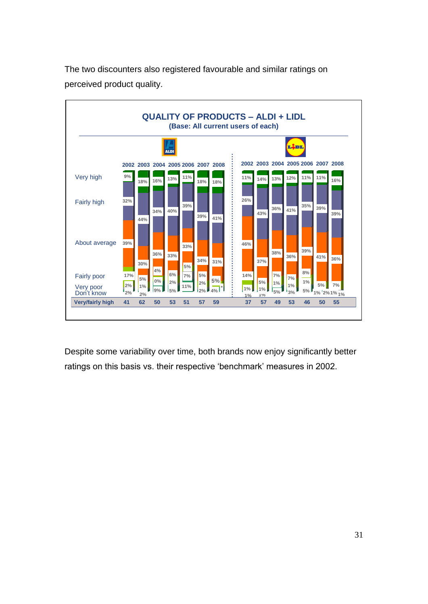

The two discounters also registered favourable and similar ratings on perceived product quality.

Despite some variability over time, both brands now enjoy significantly better ratings on this basis vs. their respective 'benchmark' measures in 2002.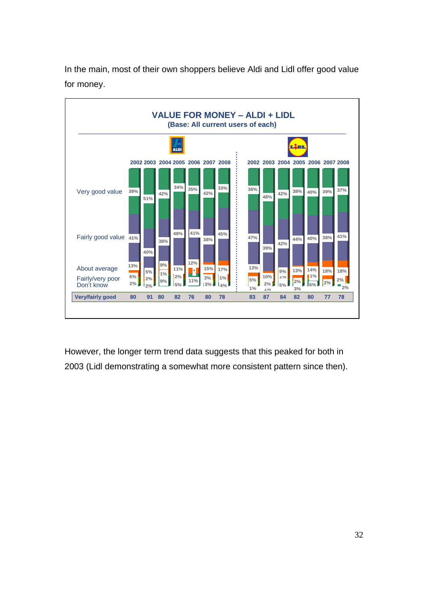

In the main, most of their own shoppers believe Aldi and Lidl offer good value for money.

However, the longer term trend data suggests that this peaked for both in 2003 (Lidl demonstrating a somewhat more consistent pattern since then).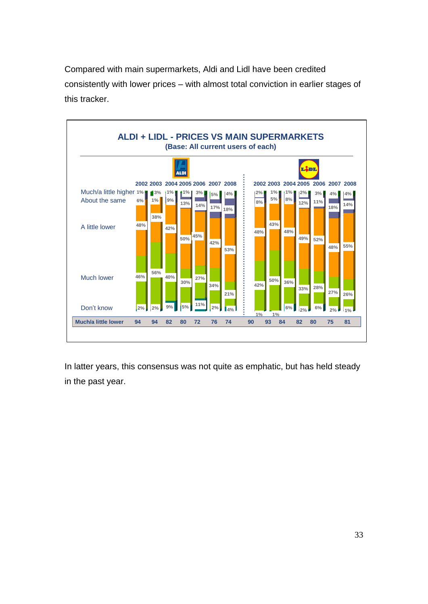Compared with main supermarkets, Aldi and Lidl have been credited consistently with lower prices – with almost total conviction in earlier stages of this tracker.



In latter years, this consensus was not quite as emphatic, but has held steady in the past year.